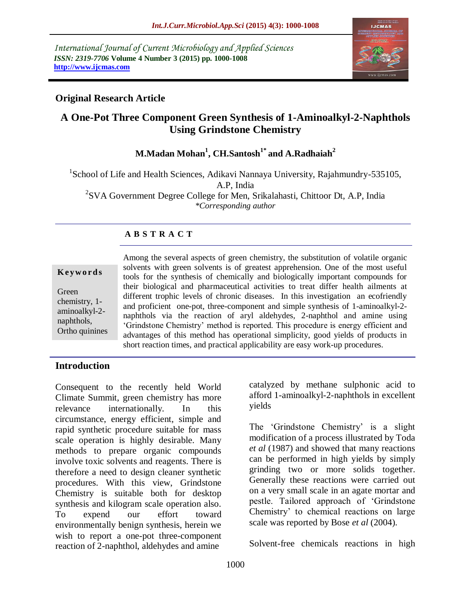*International Journal of Current Microbiology and Applied Sciences ISSN: 2319-7706* **Volume 4 Number 3 (2015) pp. 1000-1008 http://www.ijcmas.com** 



### **Original Research Article**

# **A One-Pot Three Component Green Synthesis of 1-Aminoalkyl-2-Naphthols Using Grindstone Chemistry**

# **M.Madan Mohan<sup>1</sup> , CH.Santosh1\* and A.Radhaiah<sup>2</sup>**

<sup>1</sup>School of Life and Health Sciences, Adikavi Nannaya University, Rajahmundry-535105, A.P, India <sup>2</sup>SVA Government Degree College for Men, Srikalahasti, Chittoor Dt, A.P, India

*\*Corresponding author*

### **A B S T R A C T**

| Keywords       |
|----------------|
| Green          |
| chemistry, 1-  |
| aminoalkyl-2-  |
| naphthols,     |
| Ortho quinines |

Among the several aspects of green chemistry, the substitution of volatile organic solvents with green solvents is of greatest apprehension. One of the most useful tools for the synthesis of chemically and biologically important compounds for their biological and pharmaceutical activities to treat differ health ailments at different trophic levels of chronic diseases. In this investigation an ecofriendly and proficient one-pot, three-component and simple synthesis of 1-aminoalkyl-2 naphthols via the reaction of aryl aldehydes, 2-naphthol and amine using 'Grindstone Chemistry' method is reported. This procedure is energy efficient and advantages of this method has operational simplicity, good yields of products in short reaction times, and practical applicability are easy work-up procedures.

### **Introduction**

Consequent to the recently held World Climate Summit, green chemistry has more relevance internationally. In this circumstance, energy efficient, simple and rapid synthetic procedure suitable for mass scale operation is highly desirable. Many methods to prepare organic compounds involve toxic solvents and reagents. There is therefore a need to design cleaner synthetic procedures. With this view, Grindstone Chemistry is suitable both for desktop synthesis and kilogram scale operation also. To expend our effort toward environmentally benign synthesis, herein we wish to report a one-pot three-component reaction of 2-naphthol, aldehydes and amine

catalyzed by methane sulphonic acid to afford 1-aminoalkyl-2-naphthols in excellent yields

The 'Grindstone Chemistry' is a slight modification of a process illustrated by Toda *et al* (1987) and showed that many reactions can be performed in high yields by simply grinding two or more solids together. Generally these reactions were carried out on a very small scale in an agate mortar and pestle. Tailored approach of 'Grindstone Chemistry' to chemical reactions on large scale was reported by Bose *et al* (2004).

Solvent-free chemicals reactions in high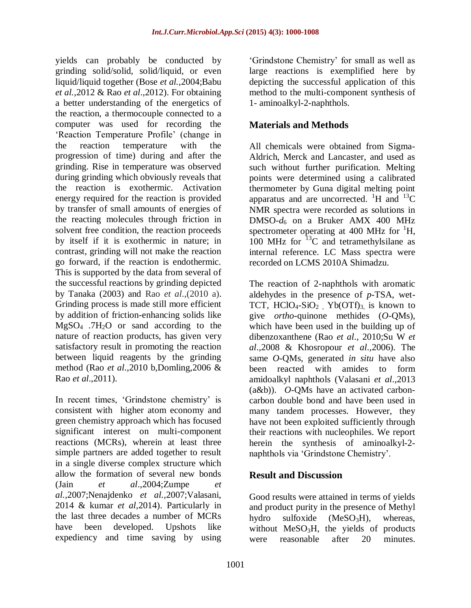yields can probably be conducted by grinding solid/solid, solid/liquid, or even liquid/liquid together (Bose *et al.*,2004;Babu *et al.*,2012 & Rao *et al*.,2012). For obtaining a better understanding of the energetics of the reaction, a thermocouple connected to a computer was used for recording the 'Reaction Temperature Profile' (change in the reaction temperature with the progression of time) during and after the grinding. Rise in temperature was observed during grinding which obviously reveals that the reaction is exothermic. Activation energy required for the reaction is provided by transfer of small amounts of energies of the reacting molecules through friction in solvent free condition, the reaction proceeds by itself if it is exothermic in nature; in contrast, grinding will not make the reaction go forward, if the reaction is endothermic. This is supported by the data from several of the successful reactions by grinding depicted by Tanaka (2003) and Rao *et al*.,(2010 a). Grinding process is made still more efficient by addition of friction-enhancing solids like  $MgSO<sub>4</sub>$  .7H<sub>2</sub>O or sand according to the nature of reaction products, has given very satisfactory result in promoting the reaction between liquid reagents by the grinding method (Rao *et al*.,2010 b,Domling,2006 & Rao *et al*.,2011).

In recent times, 'Grindstone chemistry' is consistent with higher atom economy and green chemistry approach which has focused significant interest on multi-component reactions (MCRs), wherein at least three simple partners are added together to result in a single diverse complex structure which allow the formation of several new bonds (Jain *et al*.,2004;Zumpe *et al.,*2007;Nenajdenko *et al.,*2007;Valasani, 2014 & kumar *et al*,2014). Particularly in the last three decades a number of MCRs have been developed. Upshots like expediency and time saving by using

'Grindstone Chemistry' for small as well as large reactions is exemplified here by depicting the successful application of this method to the multi-component synthesis of 1- aminoalkyl-2-naphthols.

# **Materials and Methods**

All chemicals were obtained from Sigma-Aldrich, Merck and Lancaster, and used as such without further purification. Melting points were determined using a calibrated thermometer by Guna digital melting point apparatus and are uncorrected. <sup>1</sup>H and <sup>13</sup>C NMR spectra were recorded as solutions in DMSO*-d*<sup>6</sup> on a Bruker AMX 400 MHz spectrometer operating at 400 MHz for  ${}^{1}H$ , 100 MHz for  $^{13}$ C and tetramethylsilane as internal reference. LC Mass spectra were recorded on LCMS 2010A Shimadzu.

The reaction of 2-naphthols with aromatic aldehydes in the presence of *p*-TSA, wet-TCT,  $HCIO<sub>4</sub>-SiO<sub>2</sub>$ ,  $Yb(OTf)<sub>3</sub>$  is known to give *ortho*-quinone methides (*O*-QMs), which have been used in the building up of dibenzoxanthene (Rao *et al*., 2010;Su W *et al*.,2008 & Khosropour *et al*.,2006). The same *O*-QMs, generated *in situ* have also been reacted with amides to form amidoalkyl naphthols (Valasani *et al*.,2013 (a&b)). *O*-QMs have an activated carboncarbon double bond and have been used in many tandem processes. However, they have not been exploited sufficiently through their reactions with nucleophiles. We report herein the synthesis of aminoalkyl-2 naphthols via 'Grindstone Chemistry'.

# **Result and Discussion**

Good results were attained in terms of yields and product purity in the presence of Methyl hydro sulfoxide  $(MeSO<sub>3</sub>H)$ , whereas, without  $MeSO<sub>3</sub>H$ , the yields of products were reasonable after 20 minutes.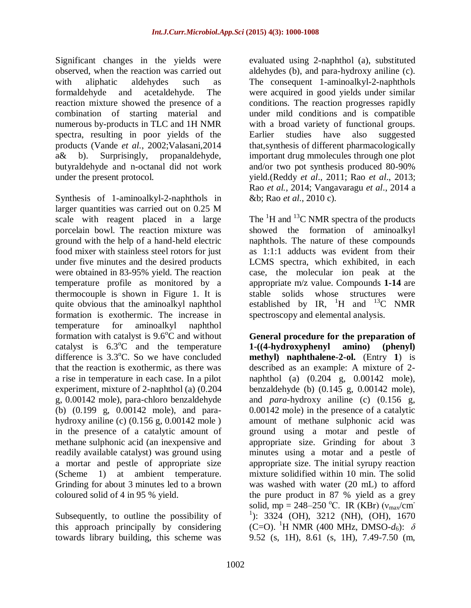Significant changes in the yields were observed, when the reaction was carried out with aliphatic aldehydes such as formaldehyde and acetaldehyde. The reaction mixture showed the presence of a combination of starting material and numerous by-products in TLC and 1H NMR spectra, resulting in poor yields of the products (Vande *et al.*, 2002;Valasani,2014 a& b). Surprisingly, propanaldehyde, butyraldehyde and n-octanal did not work under the present protocol.

Synthesis of 1-aminoalkyl-2-naphthols in larger quantities was carried out on 0.25 M scale with reagent placed in a large porcelain bowl. The reaction mixture was ground with the help of a hand-held electric food mixer with stainless steel rotors for just under five minutes and the desired products were obtained in 83-95% yield. The reaction temperature profile as monitored by a thermocouple is shown in Figure 1. It is quite obvious that the aminoalkyl naphthol formation is exothermic. The increase in temperature for aminoalkyl naphthol formation with catalyst is  $9.6^{\circ}$ C and without catalyst is  $6.3^{\circ}$ C and the temperature difference is  $3.3^{\circ}$ C. So we have concluded that the reaction is exothermic, as there was a rise in temperature in each case. In a pilot experiment, mixture of 2-naphthol (a) (0.204 g, 0.00142 mole), para-chloro benzaldehyde (b) (0.199 g, 0.00142 mole), and parahydroxy aniline (c) (0.156 g, 0.00142 mole ) in the presence of a catalytic amount of methane sulphonic acid (an inexpensive and readily available catalyst) was ground using a mortar and pestle of appropriate size (Scheme 1) at ambient temperature. Grinding for about 3 minutes led to a brown coloured solid of 4 in 95 % yield.

Subsequently, to outline the possibility of this approach principally by considering towards library building, this scheme was

evaluated using 2-naphthol (a), substituted aldehydes (b), and para-hydroxy aniline (c). The consequent 1-aminoalkyl-2-naphthols were acquired in good yields under similar conditions. The reaction progresses rapidly under mild conditions and is compatible with a broad variety of functional groups. Earlier studies have also suggested that,synthesis of different pharmacologically important drug mmolecules through one plot and/or two pot synthesis produced 80-90% yield.(Reddy *et al*., 2011; Rao *et al*., 2013; Rao *et al.,* 2014; Vangavaragu *et al*., 2014 a &b; Rao *et al*., 2010 c).

The  ${}^{1}$ H and  ${}^{13}$ C NMR spectra of the products showed the formation of aminoalkyl naphthols. The nature of these compounds as 1:1:1 adducts was evident from their LCMS spectra, which exhibited, in each case, the molecular ion peak at the appropriate m/z value. Compounds **1-14** are stable solids whose structures were established by IR,  ${}^{1}H$  and  ${}^{13}C$  NMR spectroscopy and elemental analysis.

**General procedure for the preparation of 1-((4-hydroxyphenyl amino) (phenyl) methyl) naphthalene-2-ol.** (Entry **1**) is described as an example: A mixture of 2 naphthol (a) (0.204 g, 0.00142 mole), benzaldehyde (b) (0.145 g, 0.00142 mole), and *para*-hydroxy aniline (c) (0.156 g, 0.00142 mole) in the presence of a catalytic amount of methane sulphonic acid was ground using a motar and pestle of appropriate size. Grinding for about 3 minutes using a motar and a pestle of appropriate size. The initial syrupy reaction mixture solidified within 10 min. The solid was washed with water (20 mL) to afford the pure product in 87 % yield as a grey solid, mp = 248–250 °C. IR (KBr) ( $v_{\text{max}}/cm^{-1}$ <sup>1</sup>): 3324 (OH), 3212 (NH), (OH), 1670 (C=O). <sup>1</sup>H NMR (400 MHz, DMSO- $d_6$ ):  $\delta$ 9.52 (s, 1H), 8.61 (s, 1H), 7.49-7.50 (m,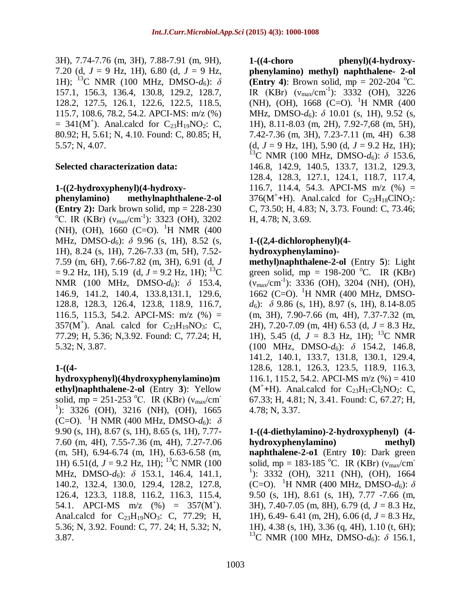3H), 7.74-7.76 (m, 3H), 7.88-7.91 (m, 9H), 7.20 (d,  $J = 9$  Hz, 1H), 6.80 (d,  $J = 9$  Hz, 1H); <sup>13</sup>C NMR (100 MHz, DMSO- $d_6$ ):  $\delta$ 157.1, 156.3, 136.4, 130.8, 129.2, 128.7, 128.2, 127.5, 126.1, 122.6, 122.5, 118.5, 115.7, 108.6, 78.2, 54.2. APCI-MS: m/z (%)  $=$  341(M<sup>+</sup>). Anal.calcd for C<sub>23</sub>H<sub>19</sub>NO<sub>2</sub>: C, 80.92; H, 5.61; N, 4.10. Found: C, 80.85; H, 5.57; N, 4.07.

#### **Selected characterization data:**

#### **1-((2-hydroxyphenyl)(4-hydroxy-**

**phenylamino) methylnaphthalene-2-ol (Entry 2):** Dark brown solid, mp = 228-230 <sup>o</sup>C. IR (KBr) ( $v_{\text{max}}/cm^{-1}$ ): 3323 (OH), 3202 (NH), (OH), 1660 (C=O). <sup>1</sup>H NMR (400) MHz, DMSO-d<sub>6</sub>): δ 9.96 (s, 1H), 8.52 (s, 1H), 8.24 (s, 1H), 7.26-7.33 (m, 5H), 7.52- 7.59 (m, 6H), 7.66-7.82 (m, 3H), 6.91 (d, *J*  $= 9.2$  Hz, 1H), 5.19 (d,  $J = 9.2$  Hz, 1H); <sup>13</sup>C NMR (100 MHz, DMSO-*d*6): *δ* 153.4, 146.9, 141.2, 140.4, 133.8,131.1, 129.6, 128.8, 128.3, 126.4, 123.8, 118.9, 116.7, 116.5, 115.3, 54.2. APCI-MS: m/z (%) = 357( $M^+$ ). Anal. calcd for  $C_{23}H_{19}NO_3$ : C, 77.29; H, 5.36; N,3.92. Found: C, 77.24; H, 5.32; N, 3.87.

### **1-((4-**

**hydroxyphenyl)(4hydroxyphenylamino)m ethyl)naphthalene-2-ol** (Entry **3**): Yellow solid, mp = 251-253 °C. IR (KBr) ( $v_{\text{max}}/cm$ <sup>1</sup>): 3326 (OH), 3216 (NH), (OH), 1665 (C=O). <sup>1</sup>H NMR (400 MHz, DMSO- $d_6$ ):  $\delta$ 9.90 (s, 1H), 8.67 (s, 1H), 8.65 (s, 1H), 7.77- 7.60 (m, 4H), 7.55-7.36 (m, 4H), 7.27-7.06 (m, 5H), 6.94-6.74 (m, 1H), 6.63-6.58 (m, 1H) 6.51(d,  $J = 9.2$  Hz, 1H); <sup>13</sup>C NMR (100) MHz, DMSO-d<sub>6</sub>): δ 153.1, 146.4, 141.1, 140.2, 132.4, 130.0, 129.4, 128.2, 127.8, 126.4, 123.3, 118.8, 116.2, 116.3, 115.4, 54.1. APCI-MS  $m/z$  (%) = 357(M<sup>+</sup>). Anal.calcd for  $C_{23}H_{19}NO_3$ : C, 77.29; H, 5.36; N, 3.92. Found: C, 77. 24; H, 5.32; N, 3.87.

**1-((4-choro phenyl)(4-hydroxyphenylamino) methyl) naphthalene- 2-ol (Entry 4)**: Brown solid,  $mp = 202-204$  °C. IR (KBr)  $(v_{\text{max}}/cm^{-1})$ : 3332 (OH), 3226 (NH), (OH), 1668 (C=O). <sup>1</sup>H NMR (400) MHz, DMSO-*d*6): *δ* 10.01 (s, 1H), 9.52 (s, 1H), 8.11-8.03 (m, 2H), 7.92-7,68 (m, 5H), 7.42-7.36 (m, 3H), 7.23-7.11 (m, 4H) 6.38 (d,  $J = 9$  Hz, 1H), 5.90 (d,  $J = 9.2$  Hz, 1H); <sup>13</sup>C NMR (100 MHz, DMSO-*d*<sub>6</sub>): δ 153.6, 146.8, 142.9, 140.5, 133.7, 131.2, 129.3, 128.4, 128.3, 127.1, 124.1, 118.7, 117.4, 116.7, 114.4, 54.3. APCI-MS  $m/z$  (%) =  $376(M^+ + H)$ . Anal.calcd for  $C_{23}H_{18}CINO_2$ : C, 73.50; H, 4.83; N, 3.73. Found: C, 73.46; H, 4.78; N, 3.69.

#### **1-((2,4-dichlorophenyl)(4 hydroxyphenylamino)-**

**methyl)naphthalene-2-ol** (Entry **5**): Light green solid, mp =  $198-200$  °C. IR (KBr)  $(V_{\text{max}}/cm^{-1})$ : 3336 (OH), 3204 (NH), (OH), 1662 (C=O).  $^{1}$ H NMR (400 MHz, DMSO*d*6): *δ* 9.86 (s, 1H), 8.97 (s, 1H), 8.14-8.05 (m, 3H), 7.90-7.66 (m, 4H), 7.37-7.32 (m, 2H), 7.20-7.09 (m, 4H) 6.53 (d, *J* = 8.3 Hz, 1H), 5.45 (d,  $J = 8.3$  Hz, 1H); <sup>13</sup>C NMR  $(100 \text{ MHz}, \text{ DMSO-}d_6): \delta$  154.2, 146.8, 141.2, 140.1, 133.7, 131.8, 130.1, 129.4, 128.6, 128.1, 126.3, 123.5, 118.9, 116.3, 116.1, 115.2, 54.2. APCI-MS m/z  $(\%)=410$  $(M^+$ +H). Anal.calcd for  $C_{23}H_{17}Cl_2NO_2$ : C, 67.33; H, 4.81; N, 3.41. Found: C, 67.27; H, 4.78; N, 3.37.

**1-((4-diethylamino)-2-hydroxyphenyl) (4 hydroxyphenylamino) methyl) naphthalene-2-o1** (Entry **10**): Dark green solid, mp = 183-185 °C. IR (KBr) ( $v_{\text{max}}/cm^{-1}$ <sup>1</sup>): 3332 (OH), 3211 (NH), (OH), 1664 (C=O). <sup>1</sup>H NMR (400 MHz, DMSO- $d_6$ ):  $\delta$ 9.50 (s, 1H), 8.61 (s, 1H), 7.77 -7.66 (m, 3H), 7.40-7.05 (m, 8H), 6.79 (d, *J* = 8.3 Hz, 1H),  $6.49 - 6.41$  (m, 2H),  $6.06$  (d,  $J = 8.3$  Hz, 1H), 4.38 (s, 1H), 3.36 (q, 4H), 1.10 (t, 6H); <sup>13</sup>C NMR (100 MHz, DMSO-*d*6): *δ* 156.1,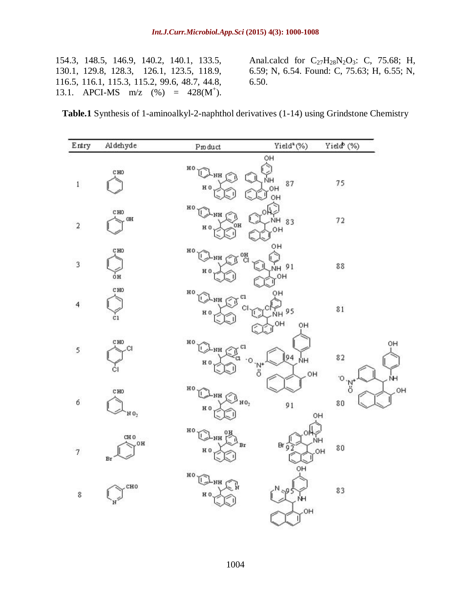|  |  | 154.3, 148.5, 146.9, 140.2, 140.1, 133.5,       |
|--|--|-------------------------------------------------|
|  |  | 130.1, 129.8, 128.3, 126.1, 123.5, 118.9,       |
|  |  | 116.5, 116.1, 115.3, 115.2, 99.6, 48.7, 44.8,   |
|  |  | 13.1. APCI-MS $m/z$ (%) = 428(M <sup>+</sup> ). |

Anal.calcd for  $C_{27}H_{28}N_{2}O_{3}$ : C, 75.68; H, 6.59; N, 6.54. Found: C, 75.63; H, 6.55; N, 6.50.

| <b>Table.1</b> Synthesis of 1-aminoalkyl-2-naphthol derivatives (1-14) using Grindstone Chemistry |
|---------------------------------------------------------------------------------------------------|
|---------------------------------------------------------------------------------------------------|

| Entry                    | Aldehyde                    | Product                                                                   | Yield <sup>*</sup> (%)           | Yield <sup>b</sup> (%) |
|--------------------------|-----------------------------|---------------------------------------------------------------------------|----------------------------------|------------------------|
| $\mathbf i$              | CHO                         | $^{HO}$<br>HH-<br>H <sub>0</sub>                                          | OH<br>ŃН<br>87<br>OН<br>-1<br>OH | 75                     |
| $\overline{\mathbf{2}}$  | CHO<br>OH                   | HO<br>HH.<br>OH<br>H <sub>0</sub>                                         | n<br>NΗ<br>83<br>OH              | 72                     |
| 3                        | C HO<br>óн                  | HO<br><b>R</b> <sub>OH</sub><br>$\rightarrow$ NH $\sim$<br>H <sub>0</sub> | OΗ<br>NH 91<br>OH                | $8\,8$                 |
| $\overline{\mathcal{L}}$ | CHO<br>$_{c1}$              | HO<br>$\mathbb{C}$ nh $\mathbb{C}$ r<br>С<br>H <sub>0</sub>               | он<br>95<br>OH<br>OH             | $8\,1$                 |
| 5                        | CHO<br>СI<br>СI             | HO<br>C1<br>$\mathbf{1}$<br>NH CI<br>a<br>۰o<br>H <sub>0</sub>            | $\sqrt{94}$<br>ŃΗ<br>o=zi<br>OH  | 82                     |
| 6                        | CHO<br>NO,                  | HO<br>T.<br>$\tau^{\text{nh}}$ $\bigotimes^{\text{ho}}$<br>H <sub>0</sub> | 91                               | Ο<br>o:zʻ<br>80<br>OH  |
| $\overline{\tau}$        | CH <sub>0</sub><br>OH<br>Br | HO<br>$\mathbf{L}$<br>HH.<br>Br<br>H <sub>0</sub>                         | $Br_{97}$<br>$\mathbf{I}$<br>OH  | ŃH<br>80<br>OH         |
| 8                        | CHO<br>N                    | $^{H0}$<br>NH r<br>H <sub>0</sub>                                         | NH<br>OH                         | 83                     |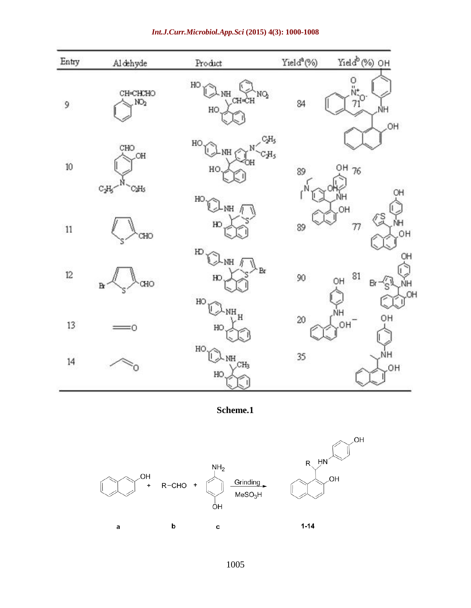| Entry  | Aldehyde                       | Product                                  | Yield <sup>a</sup> (%) | Yield <sup>b</sup> (%) OH                                                   |
|--------|--------------------------------|------------------------------------------|------------------------|-----------------------------------------------------------------------------|
| 9      | CH-CHCHO<br>NO <sub>2</sub>    | HO<br>NH<br>NQ<br>CH-CH<br>HO            | 84                     | о<br>$\frac{1}{10}$<br>$\frac{1}{10}$<br>ΝH<br>OH                           |
| 10     | CHO<br>HO.<br>$C_2H_5$<br>CaHs | HO<br>N<br>$-MH$<br>OH<br>HO<br>HO       | $C_2H_5$<br>CH5<br>89  | OH 76<br>OH<br>ŃΗ                                                           |
| $11\,$ | CHO                            | NH<br>HO                                 | 89                     | OH<br>$\frac{1}{2}$<br>ŃΗ<br>77<br>OH                                       |
| 12     | CHO<br>$\mathbf{p}$            | $_{\rm HD}$<br>NH f<br>Br<br>HC<br>HO    | 90                     | OH<br>81<br>OH<br>$\mathcal{L}_{\mathbb{S}}^{\mathbb{N}}$<br>ŃH<br>Br<br>OH |
| 13     | 0                              | NH<br>$\overline{H}$<br>HO               | 20                     | ١H<br>OH<br>OH                                                              |
| 14     | O                              | $HO \sim$<br>NH<br>CH <sub>3</sub><br>HO | 35                     | ŃΗ<br>OH.                                                                   |

#### *Int.J.Curr.Microbiol.App.Sci* **(2015) 4(3): 1000-1008**

**Scheme.1**

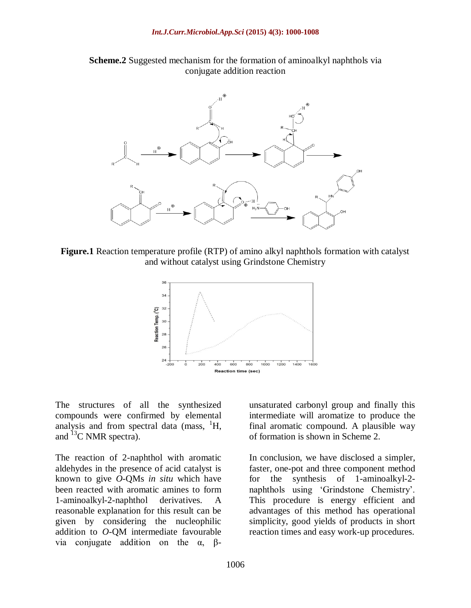



**Figure.1** Reaction temperature profile (RTP) of amino alkyl naphthols formation with catalyst and without catalyst using Grindstone Chemistry



The structures of all the synthesized compounds were confirmed by elemental analysis and from spectral data (mass,  ${}^{1}H$ , and  ${}^{13}C$  NMR spectra).

The reaction of 2-naphthol with aromatic aldehydes in the presence of acid catalyst is known to give *O*-QMs *in situ* which have been reacted with aromatic amines to form 1-aminoalkyl-2-naphthol derivatives. A reasonable explanation for this result can be given by considering the nucleophilic addition to *O*-QM intermediate favourable via conjugate addition on the α, βunsaturated carbonyl group and finally this intermediate will aromatize to produce the final aromatic compound. A plausible way of formation is shown in Scheme 2.

In conclusion, we have disclosed a simpler, faster, one-pot and three component method for the synthesis of 1-aminoalkyl-2 naphthols using 'Grindstone Chemistry'. This procedure is energy efficient and advantages of this method has operational simplicity, good yields of products in short reaction times and easy work-up procedures.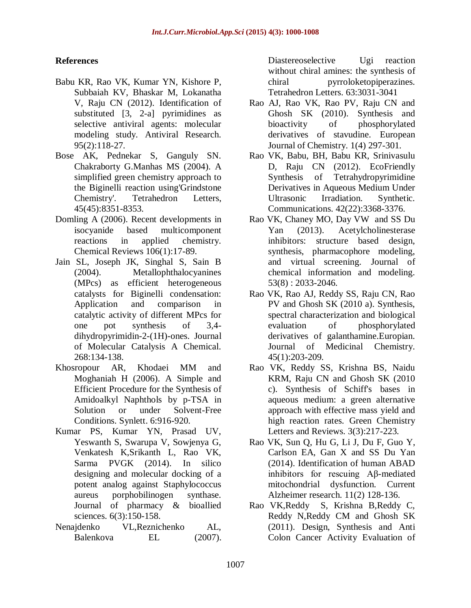### **References**

- Babu KR, Rao VK, Kumar YN, Kishore P, Subbaiah KV, Bhaskar M, Lokanatha V, Raju CN (2012). Identification of substituted [3, 2-a] pyrimidines as selective antiviral agents: molecular modeling study. Antiviral Research. 95(2):118-27.
- Bose AK, Pednekar S, Ganguly SN. Chakraborty G.Manhas MS (2004). A simplified green chemistry approach to the Biginelli reaction using'Grindstone Chemistry'. Tetrahedron Letters, 45(45):8351-8353.
- Domling A (2006). Recent developments in isocyanide based multicomponent reactions in applied chemistry. Chemical Reviews 106(1):17-89.
- Jain SL, Joseph JK, Singhal S, Sain B (2004). Metallophthalocyanines (MPcs) as efficient heterogeneous catalysts for Biginelli condensation: Application and comparison in catalytic activity of different MPcs for one pot synthesis of 3,4 dihydropyrimidin-2-(1H)-ones. Journal of Molecular Catalysis A Chemical. 268:134-138.
- Khosropour AR, Khodaei MM and Moghaniah H (2006). A Simple and Efficient Procedure for the Synthesis of Amidoalkyl Naphthols by p-TSA in Solution or under Solvent-Free Conditions. Synlett. 6:916-920.
- Kumar PS, Kumar YN, Prasad UV, Yeswanth S, Swarupa V, Sowjenya G, Venkatesh K,Srikanth L, Rao VK, Sarma PVGK (2014). In silico designing and molecular docking of a potent analog against Staphylococcus aureus porphobilinogen synthase. Journal of pharmacy & bioallied sciences. 6(3):150-158.
- Nenajdenko VL,Reznichenko AL, Balenkova EL (2007).

Diastereoselective Ugi reaction without chiral amines: the synthesis of chiral pyrroloketopiperazines. Tetrahedron Letters. 63:3031-3041

- Rao AJ, Rao VK, Rao PV, Raju CN and Ghosh SK (2010). Synthesis and bioactivity of phosphorylated derivatives of stavudine. European Journal of Chemistry. 1(4) 297-301.
- Rao VK, Babu, BH, Babu KR, Srinivasulu D, Raju CN (2012). EcoFriendly Synthesis of Tetrahydropyrimidine Derivatives in Aqueous Medium Under Ultrasonic Irradiation. Synthetic. Communications. 42(22):3368-3376.
- Rao VK, Chaney MO, Day VW and SS Du Yan (2013). Acetylcholinesterase inhibitors: structure based design, synthesis, pharmacophore modeling, and virtual screening. Journal of chemical information and modeling. 53(8) : 2033-2046.
- Rao VK, Rao AJ, Reddy SS, Raju CN, Rao PV and Ghosh SK (2010 a). Synthesis, spectral characterization and biological evaluation of phosphorylated derivatives of galanthamine.Europian. Journal of Medicinal Chemistry. 45(1):203-209.
- Rao VK, Reddy SS, Krishna BS, Naidu KRM, Raju CN and Ghosh SK (2010 c). Synthesis of Schiff's bases in aqueous medium: a green alternative approach with effective mass yield and high reaction rates. Green Chemistry Letters and Reviews. 3(3):217-223.
- Rao VK, Sun Q, Hu G, Li J, Du F, Guo Y, Carlson EA, Gan X and SS Du Yan (2014). Identification of human ABAD inhibitors for rescuing Aβ-mediated mitochondrial dysfunction. Current Alzheimer research. 11(2) 128-136.
- Rao VK,Reddy S, Krishna B,Reddy C, Reddy N,Reddy CM and Ghosh SK (2011). Design, Synthesis and Anti Colon Cancer Activity Evaluation of